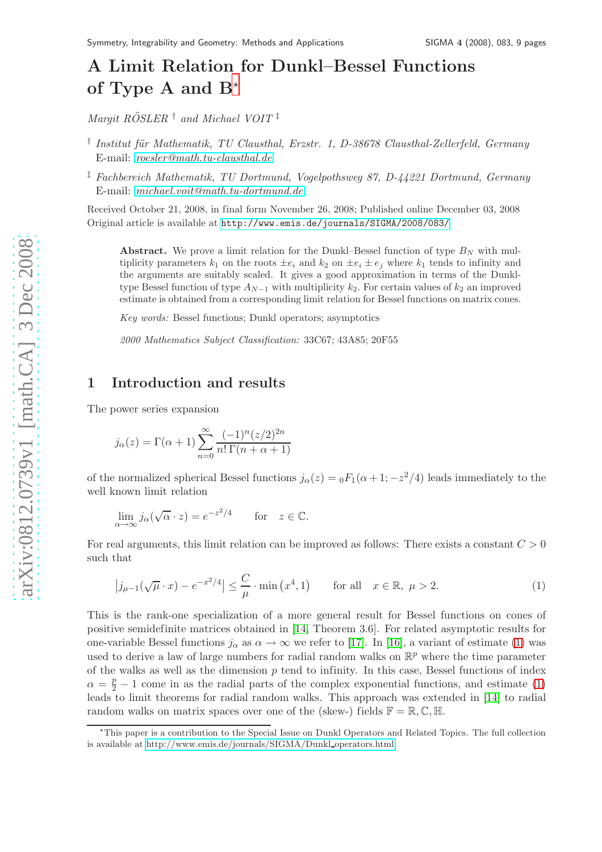# A Limit Relation for Dunkl–Bessel Functions of Type A and  $B^*$

*Margit ROSLER ¨* † *and Michael VOIT* ‡

- <sup>†</sup> Institut für Mathematik, TU Clausthal, Erzstr. 1, D-38678 Clausthal-Zellerfeld, Germany E-mail: *[roesler@math.tu-clausthal.de](mailto:roesler@math.tu-clausthal.de)*
- ‡ *Fachbereich Mathematik, TU Dortmund, Vogelpothsweg 87, D-44221 Dortmund, Germany* E-mail: *[michael.voit@math.tu-dortmund.de](mailto:michael.voit@math.tu-dortmund.de)*

Received October 21, 2008, in final form November 26, 2008; Published online December 03, 2008 Original article is available at <http://www.emis.de/journals/SIGMA/2008/083/>

Abstract. We prove a limit relation for the Dunkl–Bessel function of type  $B<sub>N</sub>$  with multiplicity parameters  $k_1$  on the roots  $\pm e_i$  and  $k_2$  on  $\pm e_i \pm e_j$  where  $k_1$  tends to infinity and the arguments are suitably scaled. It gives a good approximation in terms of the Dunkltype Bessel function of type  $A_{N-1}$  with multiplicity  $k_2$ . For certain values of  $k_2$  an improved estimate is obtained from a corresponding limit relation for Bessel functions on matrix cones.

*Key words:* Bessel functions; Dunkl operators; asymptotics

*2000 Mathematics Subject Classification:* 33C67; 43A85; 20F55

## 1 Introduction and results

The power series expansion

$$
j_{\alpha}(z) = \Gamma(\alpha+1) \sum_{n=0}^{\infty} \frac{(-1)^n (z/2)^{2n}}{n! \Gamma(n+\alpha+1)}
$$

of the normalized spherical Bessel functions  $j_{\alpha}(z) = {}_0F_1(\alpha + 1; -z^2/4)$  leads immediately to the well known limit relation

$$
\lim_{\alpha \to \infty} j_{\alpha}(\sqrt{\alpha} \cdot z) = e^{-z^2/4} \quad \text{for} \quad z \in \mathbb{C}.
$$

For real arguments, this limit relation can be improved as follows: There exists a constant  $C > 0$ such that

<span id="page-0-1"></span>
$$
\left| j_{\mu-1}(\sqrt{\mu} \cdot x) - e^{-x^2/4} \right| \le \frac{C}{\mu} \cdot \min\left( x^4, 1 \right) \qquad \text{for all} \quad x \in \mathbb{R}, \ \mu > 2. \tag{1}
$$

This is the rank-one specialization of a more general result for Bessel functions on cones of positive semidefinite matrices obtained in [\[14,](#page-8-0) Theorem 3.6]. For related asymptotic results for one-variable Bessel functions  $j_{\alpha}$  as  $\alpha \to \infty$  we refer to [\[17\]](#page-8-1). In [\[16\]](#page-8-2), a variant of estimate [\(1\)](#page-0-1) was used to derive a law of large numbers for radial random walks on  $\mathbb{R}^p$  where the time parameter of the walks as well as the dimension  $p$  tend to infinity. In this case, Bessel functions of index  $\alpha = \frac{p}{2} - 1$  come in as the radial parts of the complex exponential functions, and estimate [\(1\)](#page-0-1) leads to limit theorems for radial random walks. This approach was extended in [\[14\]](#page-8-0) to radial random walks on matrix spaces over one of the (skew-) fields  $\mathbb{F} = \mathbb{R}, \mathbb{C}, \mathbb{H}$ .

<span id="page-0-0"></span><sup>⋆</sup>This paper is a contribution to the Special Issue on Dunkl Operators and Related Topics. The full collection is available at [http://www.emis.de/journals/SIGMA/Dunkl](http://www.emis.de/journals/SIGMA/Dunkl_operators.html)\_operators.html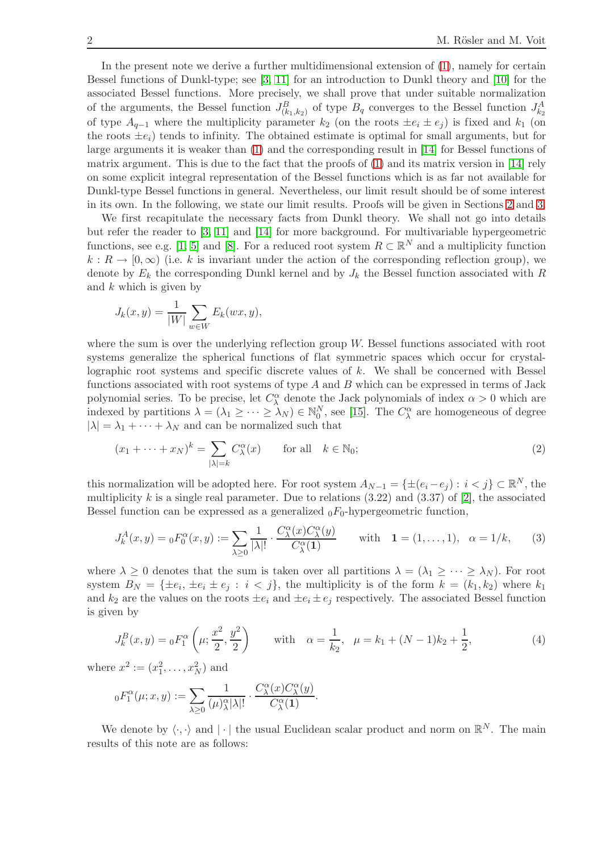In the present note we derive a further multidimensional extension of [\(1\)](#page-0-1), namely for certain Bessel functions of Dunkl-type; see [\[3,](#page-7-0) [11\]](#page-7-1) for an introduction to Dunkl theory and [\[10\]](#page-7-2) for the associated Bessel functions. More precisely, we shall prove that under suitable normalization of the arguments, the Bessel function  $J_{(k_1,k_2)}^B$  of type  $B_q$  converges to the Bessel function  $J_{k_2}^A$ of type  $A_{q-1}$  where the multiplicity parameter  $k_2$  (on the roots  $\pm e_i \pm e_j$ ) is fixed and  $k_1$  (on the roots  $\pm e_i$ ) tends to infinity. The obtained estimate is optimal for small arguments, but for large arguments it is weaker than [\(1\)](#page-0-1) and the corresponding result in [\[14\]](#page-8-0) for Bessel functions of matrix argument. This is due to the fact that the proofs of [\(1\)](#page-0-1) and its matrix version in [\[14\]](#page-8-0) rely on some explicit integral representation of the Bessel functions which is as far not available for Dunkl-type Bessel functions in general. Nevertheless, our limit result should be of some interest in its own. In the following, we state our limit results. Proofs will be given in Sections [2](#page-2-0) and [3.](#page-5-0)

We first recapitulate the necessary facts from Dunkl theory. We shall not go into details but refer the reader to [\[3,](#page-7-0) [11\]](#page-7-1) and [\[14\]](#page-8-0) for more background. For multivariable hypergeometric functions, see e.g. [\[1,](#page-7-3) [5\]](#page-7-4) and [\[8\]](#page-7-5). For a reduced root system  $R \subset \mathbb{R}^N$  and a multiplicity function  $k : R \to [0, \infty)$  (i.e. k is invariant under the action of the corresponding reflection group), we denote by  $E_k$  the corresponding Dunkl kernel and by  $J_k$  the Bessel function associated with R and  $k$  which is given by

$$
J_k(x,y) = \frac{1}{|W|} \sum_{w \in W} E_k(wx,y),
$$

where the sum is over the underlying reflection group W. Bessel functions associated with root systems generalize the spherical functions of flat symmetric spaces which occur for crystallographic root systems and specific discrete values of k. We shall be concerned with Bessel functions associated with root systems of type  $A$  and  $B$  which can be expressed in terms of Jack polynomial series. To be precise, let  $C_{\lambda}^{\alpha}$  denote the Jack polynomials of index  $\alpha > 0$  which are indexed by partitions  $\lambda = (\lambda_1 \geq \cdots \geq \lambda_N) \in \mathbb{N}_0^N$ , see [\[15\]](#page-8-3). The  $C^{\alpha}_{\lambda}$  are homogeneous of degree  $|\lambda| = \lambda_1 + \cdots + \lambda_N$  and can be normalized such that

<span id="page-1-0"></span>
$$
(x_1 + \dots + x_N)^k = \sum_{|\lambda| = k} C_{\lambda}^{\alpha}(x) \quad \text{for all} \quad k \in \mathbb{N}_0;
$$
 (2)

this normalization will be adopted here. For root system  $A_{N-1} = \{\pm (e_i - e_j) : i < j\} \subset \mathbb{R}^N$ , the multiplicity k is a single real parameter. Due to relations  $(3.22)$  and  $(3.37)$  of [\[2\]](#page-7-6), the associated Bessel function can be expressed as a generalized  $_0F_0$ -hypergeometric function,

<span id="page-1-1"></span>
$$
J_k^A(x,y) = {}_0F_0^{\alpha}(x,y) := \sum_{\lambda \ge 0} \frac{1}{|\lambda|!} \cdot \frac{C_{\lambda}^{\alpha}(x)C_{\lambda}^{\alpha}(y)}{C_{\lambda}^{\alpha}(1)} \quad \text{with} \quad 1 = (1,\ldots,1), \quad \alpha = 1/k,\tag{3}
$$

where  $\lambda \geq 0$  denotes that the sum is taken over all partitions  $\lambda = (\lambda_1 \geq \cdots \geq \lambda_N)$ . For root system  $B_N = {\pm e_i, \pm e_i \pm e_j : i < j}$ , the multiplicity is of the form  $k = (k_1, k_2)$  where  $k_1$ and  $k_2$  are the values on the roots  $\pm e_i$  and  $\pm e_i \pm e_j$  respectively. The associated Bessel function is given by

<span id="page-1-2"></span>
$$
J_k^B(x,y) = {}_0F_1^\alpha \left(\mu; \frac{x^2}{2}, \frac{y^2}{2}\right) \qquad \text{with} \quad \alpha = \frac{1}{k_2}, \quad \mu = k_1 + (N-1)k_2 + \frac{1}{2}, \tag{4}
$$

where  $x^2 := (x_1^2, ..., x_N^2)$  and

$$
{}_0F_1^{\alpha}(\mu; x,y):=\sum_{\lambda\geq 0}\frac{1}{(\mu)_{\lambda}^{\alpha}|\lambda|!}\cdot\frac{C_{\lambda}^{\alpha}(x)C_{\lambda}^{\alpha}(y)}{C_{\lambda}^{\alpha}(1)}.
$$

We denote by  $\langle \cdot, \cdot \rangle$  and  $|\cdot|$  the usual Euclidean scalar product and norm on  $\mathbb{R}^N$ . The main results of this note are as follows: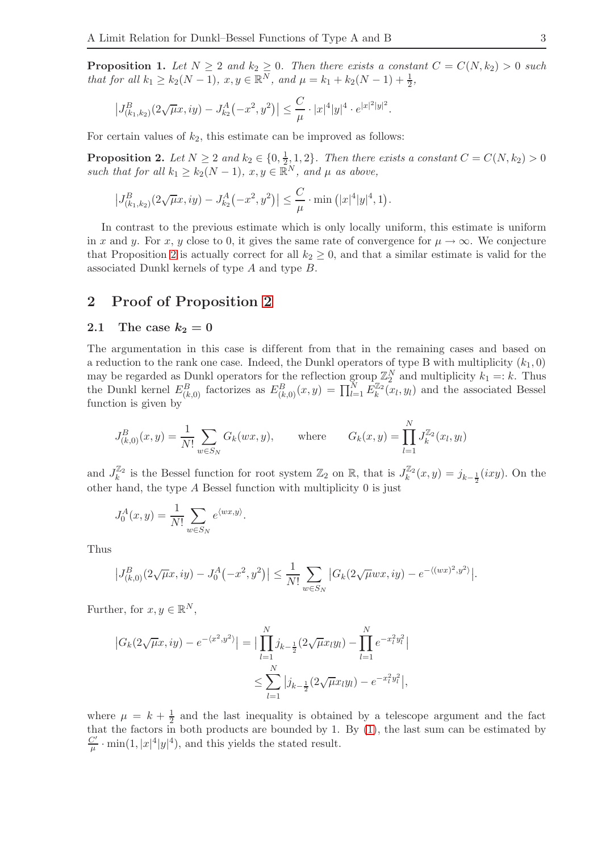<span id="page-2-2"></span>**Proposition 1.** Let  $N \geq 2$  and  $k_2 \geq 0$ . Then there exists a constant  $C = C(N, k_2) > 0$  such *that for all*  $k_1 \geq k_2(N-1)$ ,  $x, y \in \mathbb{R}^N$ , and  $\mu = k_1 + k_2(N-1) + \frac{1}{2}$ ,

$$
\left|J_{(k_1,k_2)}^B(2\sqrt{\mu}x,iy) - J_{k_2}^A(-x^2,y^2)\right| \leq \frac{C}{\mu} \cdot |x|^4|y|^4 \cdot e^{|x|^2|y|^2}.
$$

For certain values of  $k_2$ , this estimate can be improved as follows:

<span id="page-2-1"></span>**Proposition 2.** *Let*  $N \geq 2$  *and*  $k_2 \in \{0, \frac{1}{2}\}$  $\frac{1}{2}$ , 1, 2}. Then there exists a constant  $C = C(N, k_2) > 0$ *such that for all*  $k_1 \geq k_2(N-1)$ ,  $x, y \in \mathbb{R}^N$ , and  $\mu$  *as above,* 

$$
\left|J_{(k_1,k_2)}^B(2\sqrt{\mu}x,iy) - J_{k_2}^A(-x^2,y^2)\right| \leq \frac{C}{\mu} \cdot \min\left(|x|^4|y|^4,1\right).
$$

In contrast to the previous estimate which is only locally uniform, this estimate is uniform in x and y. For x, y close to 0, it gives the same rate of convergence for  $\mu \to \infty$ . We conjecture that Proposition [2](#page-2-1) is actually correct for all  $k_2 \geq 0$ , and that a similar estimate is valid for the associated Dunkl kernels of type A and type B.

### <span id="page-2-0"></span>2 Proof of Proposition [2](#page-2-1)

#### 2.1 The case  $k_2 = 0$

The argumentation in this case is different from that in the remaining cases and based on a reduction to the rank one case. Indeed, the Dunkl operators of type B with multiplicity  $(k_1, 0)$ may be regarded as Dunkl operators for the reflection group  $\mathbb{Z}_2^N$  and multiplicity  $k_1 =: k$ . Thus the Dunkl kernel  $E_{(k,0)}^B$  factorizes as  $E_{(k,0)}^B(x,y) = \prod_{l=1}^N E_k^{\mathbb{Z}_2}$  $\binom{m}{k}(x_l, y_l)$  and the associated Bessel function is given by

$$
J_{(k,0)}^B(x,y) = \frac{1}{N!} \sum_{w \in S_N} G_k(wx,y), \quad \text{where} \quad G_k(x,y) = \prod_{l=1}^N J_k^{\mathbb{Z}_2}(x_l, y_l)
$$

and  $J_k^{\mathbb{Z}_2}$  $\mathbb{Z}_k^2$  is the Bessel function for root system  $\mathbb{Z}_2$  on  $\mathbb{R}$ , that is  $J_k^{\mathbb{Z}_2}$  $j_{k}^{2}(x,y) = j_{k-\frac{1}{2}}(ixy)$ . On the other hand, the type A Bessel function with multiplicity 0 is just

$$
J_0^A(x, y) = \frac{1}{N!} \sum_{w \in S_N} e^{\langle wx, y \rangle}.
$$

Thus

$$
\left|J_{(k,0)}^B(2\sqrt{\mu}x,iy) - J_0^A(-x^2,y^2)\right| \le \frac{1}{N!} \sum_{w \in S_N} \left|G_k(2\sqrt{\mu}wx,iy) - e^{-\langle (wx)^2, y^2 \rangle}\right|.
$$

Further, for  $x, y \in \mathbb{R}^N$ ,

$$
|G_k(2\sqrt{\mu}x, iy) - e^{-\langle x^2, y^2 \rangle}| = \Big| \prod_{l=1}^N j_{k-\frac{1}{2}}(2\sqrt{\mu}x_ly_l) - \prod_{l=1}^N e^{-x_l^2y_l^2}\Big|
$$
  

$$
\leq \sum_{l=1}^N |j_{k-\frac{1}{2}}(2\sqrt{\mu}x_ly_l) - e^{-x_l^2y_l^2}\Big|,
$$

where  $\mu = k + \frac{1}{2}$  and the last inequality is obtained by a telescope argument and the fact that the factors in both products are bounded by 1. By [\(1\)](#page-0-1), the last sum can be estimated by  $C'$  $\frac{C'}{\mu}$  · min(1, |x|<sup>4</sup>|y|<sup>4</sup>), and this yields the stated result.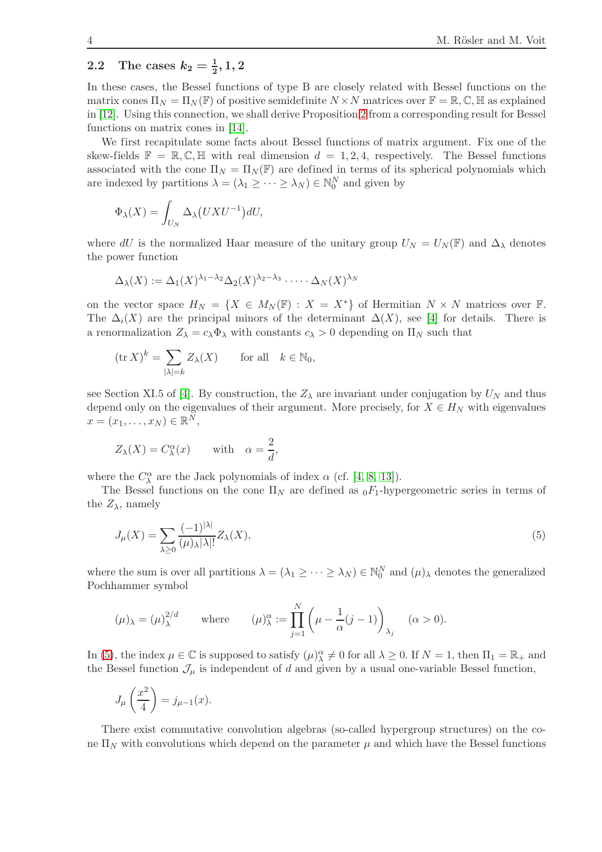## 2.2 The cases  $k_2 = \frac{1}{2}, 1, 2$

In these cases, the Bessel functions of type B are closely related with Bessel functions on the matrix cones  $\Pi_N = \Pi_N(\mathbb{F})$  of positive semidefinite  $N \times N$  matrices over  $\mathbb{F} = \mathbb{R}, \mathbb{C}, \mathbb{H}$  as explained in [\[12\]](#page-8-4). Using this connection, we shall derive Proposition [2](#page-2-1) from a corresponding result for Bessel functions on matrix cones in [\[14\]](#page-8-0).

We first recapitulate some facts about Bessel functions of matrix argument. Fix one of the skew-fields  $\mathbb{F} = \mathbb{R}, \mathbb{C}, \mathbb{H}$  with real dimension  $d = 1, 2, 4$ , respectively. The Bessel functions associated with the cone  $\Pi_N = \Pi_N(\mathbb{F})$  are defined in terms of its spherical polynomials which are indexed by partitions  $\lambda = (\lambda_1 \geq \cdots \geq \lambda_N) \in \mathbb{N}_0^N$  and given by

$$
\Phi_{\lambda}(X) = \int_{U_N} \Delta_{\lambda}(UXU^{-1})dU,
$$

where dU is the normalized Haar measure of the unitary group  $U_N = U_N(\mathbb{F})$  and  $\Delta_\lambda$  denotes the power function

$$
\Delta_{\lambda}(X) := \Delta_1(X)^{\lambda_1 - \lambda_2} \Delta_2(X)^{\lambda_2 - \lambda_3} \cdot \dots \cdot \Delta_N(X)^{\lambda_N}
$$

on the vector space  $H_N = \{X \in M_N(\mathbb{F}) : X = X^*\}$  of Hermitian  $N \times N$  matrices over  $\mathbb{F}$ . The  $\Delta_i(X)$  are the principal minors of the determinant  $\Delta(X)$ , see [\[4\]](#page-7-7) for details. There is a renormalization  $Z_{\lambda} = c_{\lambda} \Phi_{\lambda}$  with constants  $c_{\lambda} > 0$  depending on  $\Pi_N$  such that

$$
(\text{tr } X)^k = \sum_{|\lambda|=k} Z_{\lambda}(X) \quad \text{for all} \quad k \in \mathbb{N}_0,
$$

see Section XI.5 of [\[4\]](#page-7-7). By construction, the  $Z_{\lambda}$  are invariant under conjugation by  $U_N$  and thus depend only on the eigenvalues of their argument. More precisely, for  $X \in H_N$  with eigenvalues  $x = (x_1, \ldots, x_N) \in \mathbb{R}^N$ ,

$$
Z_{\lambda}(X) = C_{\lambda}^{\alpha}(x) \quad \text{with} \quad \alpha = \frac{2}{d},
$$

where the  $C^{\alpha}_{\lambda}$  are the Jack polynomials of index  $\alpha$  (cf. [\[4,](#page-7-7) [8,](#page-7-5) [13\]](#page-8-5)).

The Bessel functions on the cone  $\Pi_N$  are defined as  $_0F_1$ -hypergeometric series in terms of the  $Z_{\lambda}$ , namely

<span id="page-3-0"></span>
$$
J_{\mu}(X) = \sum_{\lambda \ge 0} \frac{(-1)^{|\lambda|}}{(\mu)_{\lambda} |\lambda|!} Z_{\lambda}(X),\tag{5}
$$

where the sum is over all partitions  $\lambda = (\lambda_1 \ge \cdots \ge \lambda_N) \in \mathbb{N}_0^N$  and  $(\mu)_{\lambda}$  denotes the generalized Pochhammer symbol

$$
(\mu)_{\lambda} = (\mu)_{\lambda}^{2/d} \quad \text{where} \quad (\mu)_{\lambda}^{\alpha} := \prod_{j=1}^{N} \left( \mu - \frac{1}{\alpha} (j-1) \right)_{\lambda_j} \quad (\alpha > 0).
$$

In [\(5\)](#page-3-0), the index  $\mu \in \mathbb{C}$  is supposed to satisfy  $(\mu)_{\lambda}^{\alpha} \neq 0$  for all  $\lambda \geq 0$ . If  $N = 1$ , then  $\Pi_1 = \mathbb{R}_+$  and the Bessel function  $\mathcal{J}_{\mu}$  is independent of d and given by a usual one-variable Bessel function,

$$
J_{\mu}\left(\frac{x^2}{4}\right) = j_{\mu-1}(x).
$$

There exist commutative convolution algebras (so-called hypergroup structures) on the cone  $\Pi_N$  with convolutions which depend on the parameter  $\mu$  and which have the Bessel functions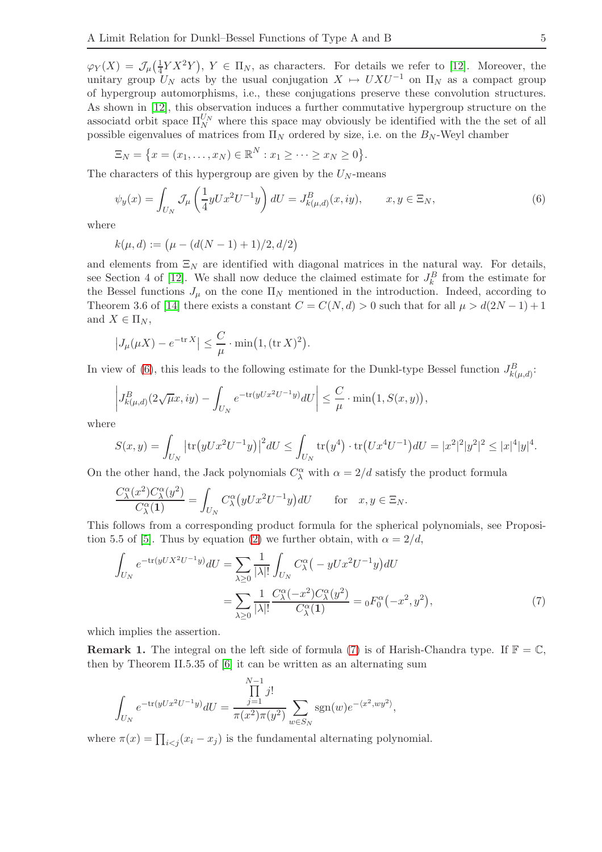$\varphi_Y(X) = \mathcal{J}_{\mu}(\frac{1}{4})$  $(\frac{1}{4}YX^2Y), Y \in \Pi_N$ , as characters. For details we refer to [\[12\]](#page-8-4). Moreover, the unitary group  $U_N$  acts by the usual conjugation  $X \mapsto UXU^{-1}$  on  $\Pi_N$  as a compact group of hypergroup automorphisms, i.e., these conjugations preserve these convolution structures. As shown in [\[12\]](#page-8-4), this observation induces a further commutative hypergroup structure on the associatd orbit space  $\Pi_N^{U_N}$  where this space may obviously be identified with the the set of all possible eigenvalues of matrices from  $\Pi_N$  ordered by size, i.e. on the  $B_N$ -Weyl chamber

$$
\Xi_N = \big\{ x = (x_1, \ldots, x_N) \in \mathbb{R}^N : x_1 \geq \cdots \geq x_N \geq 0 \big\}.
$$

The characters of this hypergroup are given by the  $U_N$ -means

<span id="page-4-0"></span>
$$
\psi_y(x) = \int_{U_N} \mathcal{J}_\mu \left( \frac{1}{4} y U x^2 U^{-1} y \right) dU = J^B_{k(\mu, d)}(x, iy), \qquad x, y \in \Xi_N,
$$
\n
$$
(6)
$$

where

$$
k(\mu, d) := \big(\mu - (d(N - 1) + 1)/2, d/2\big)
$$

and elements from  $\Xi_N$  are identified with diagonal matrices in the natural way. For details, see Section 4 of [\[12\]](#page-8-4). We shall now deduce the claimed estimate for  $J_k^B$  from the estimate for the Bessel functions  $J_{\mu}$  on the cone  $\Pi_N$  mentioned in the introduction. Indeed, according to Theorem 3.6 of [\[14\]](#page-8-0) there exists a constant  $C = C(N, d) > 0$  such that for all  $\mu > d(2N - 1) + 1$ and  $X \in \Pi_N$ ,

$$
\left|J_{\mu}(\mu X) - e^{-\operatorname{tr} X}\right| \leq \frac{C}{\mu} \cdot \min\bigl(1, (\operatorname{tr} X)^2\bigr).
$$

In view of [\(6\)](#page-4-0), this leads to the following estimate for the Dunkl-type Bessel function  $J_{k(\mu,d)}^B$ :

$$
\left| J_{k(\mu,d)}^B(2\sqrt{\mu}x,iy) - \int_{U_N} e^{-\text{tr}(yUx^2U^{-1}y)} dU \right| \leq \frac{C}{\mu} \cdot \min(1, S(x,y)),
$$

where

$$
S(x,y) = \int_{U_N} |\text{tr}(yUx^2U^{-1}y)|^2 dU \le \int_{U_N} \text{tr}(y^4) \cdot \text{tr}(Ux^4U^{-1}) dU = |x^2|^2 |y^2|^2 \le |x|^4 |y|^4.
$$

On the other hand, the Jack polynomials  $C^{\alpha}_{\lambda}$  with  $\alpha = 2/d$  satisfy the product formula

$$
\frac{C^{\alpha}_{\lambda}(x^2)C^{\alpha}_{\lambda}(y^2)}{C^{\alpha}_{\lambda}(1)} = \int_{U_N} C^{\alpha}_{\lambda}(yUx^2U^{-1}y)dU \quad \text{for} \quad x, y \in \Xi_N.
$$

This follows from a corresponding product formula for the spherical polynomials, see Proposi-tion 5.5 of [\[5\]](#page-7-4). Thus by equation [\(2\)](#page-1-0) we further obtain, with  $\alpha = 2/d$ ,

<span id="page-4-1"></span>
$$
\int_{U_N} e^{-\text{tr}(yUX^2U^{-1}y)}dU = \sum_{\lambda \ge 0} \frac{1}{|\lambda|!} \int_{U_N} C_{\lambda}^{\alpha} \left(-yUx^2U^{-1}y\right) dU
$$
\n
$$
= \sum_{\lambda \ge 0} \frac{1}{|\lambda|!} \frac{C_{\lambda}^{\alpha}(-x^2)C_{\lambda}^{\alpha}(y^2)}{C_{\lambda}^{\alpha}(1)} = {}_0F_0^{\alpha}(-x^2, y^2),\tag{7}
$$

which implies the assertion.

**Remark 1.** The integral on the left side of formula [\(7\)](#page-4-1) is of Harish-Chandra type. If  $\mathbb{F} = \mathbb{C}$ , then by Theorem II.5.35 of [\[6\]](#page-7-8) it can be written as an alternating sum

$$
\int_{U_N} e^{-\text{tr}(yUx^2U^{-1}y)}dU = \frac{\prod_{j=1}^{N-1} j!}{\pi(x^2)\pi(y^2)} \sum_{w \in S_N} \text{sgn}(w)e^{-\langle x^2, wy^2 \rangle},
$$

where  $\pi(x) = \prod_{i < j} (x_i - x_j)$  is the fundamental alternating polynomial.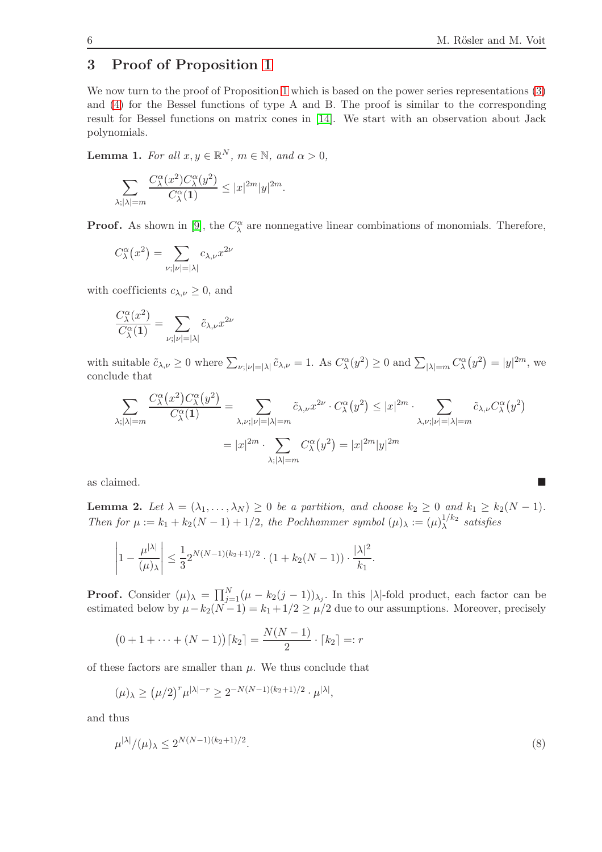## <span id="page-5-0"></span>3 Proof of Proposition [1](#page-2-2)

We now turn to the proof of Proposition [1](#page-2-2) which is based on the power series representations [\(3\)](#page-1-1) and [\(4\)](#page-1-2) for the Bessel functions of type A and B. The proof is similar to the corresponding result for Bessel functions on matrix cones in [\[14\]](#page-8-0). We start with an observation about Jack polynomials.

<span id="page-5-2"></span>**Lemma 1.** *For all*  $x, y \in \mathbb{R}^N$ *,*  $m \in \mathbb{N}$ *, and*  $\alpha > 0$ *,* 

$$
\sum_{\lambda; |\lambda|=m} \frac{C_{\lambda}^{\alpha}(x^2) C_{\lambda}^{\alpha}(y^2)}{C_{\lambda}^{\alpha}(1)} \le |x|^{2m} |y|^{2m}.
$$

**Proof.** As shown in [\[9\]](#page-7-9), the  $C^{\alpha}_{\lambda}$  are nonnegative linear combinations of monomials. Therefore,

$$
C^{\alpha}_{\lambda}(x^2) = \sum_{\nu; |\nu| = |\lambda|} c_{\lambda,\nu} x^{2\nu}
$$

with coefficients  $c_{\lambda,\nu} \geq 0$ , and

$$
\frac{C^{\alpha}_{\lambda}(x^{2})}{C^{\alpha}_{\lambda}(1)} = \sum_{\nu; |\nu|=|\lambda|} \tilde{c}_{\lambda,\nu} x^{2\nu}
$$

with suitable  $\tilde{c}_{\lambda,\nu} \ge 0$  where  $\sum_{\nu;|\nu|=|\lambda|} \tilde{c}_{\lambda,\nu} = 1$ . As  $C^{\alpha}_{\lambda}(y^2) \ge 0$  and  $\sum_{|\lambda|=m} C^{\alpha}_{\lambda}(y^2) = |y|^{2m}$ , we conclude that

$$
\sum_{\lambda; |\lambda|=m} \frac{C^{\alpha}_{\lambda}(x^2) C^{\alpha}_{\lambda}(y^2)}{C^{\alpha}_{\lambda}(1)} = \sum_{\lambda, \nu; |\nu|=|\lambda|=m} \tilde{c}_{\lambda, \nu} x^{2\nu} \cdot C^{\alpha}_{\lambda}(y^2) \le |x|^{2m} \cdot \sum_{\lambda, \nu; |\nu|=|\lambda|=m} \tilde{c}_{\lambda, \nu} C^{\alpha}_{\lambda}(y^2)
$$

$$
= |x|^{2m} \cdot \sum_{\lambda; |\lambda|=m} C^{\alpha}_{\lambda}(y^2) = |x|^{2m} |y|^{2m}
$$

as claimed.

<span id="page-5-3"></span>**Lemma 2.** Let  $\lambda = (\lambda_1, ..., \lambda_N) \geq 0$  be a partition, and choose  $k_2 \geq 0$  and  $k_1 \geq k_2(N-1)$ . *Then for*  $\mu := k_1 + k_2(N-1) + 1/2$ , the Pochhammer symbol  $(\mu)_{\lambda} := (\mu)_{\lambda}^{1/k_2}$  $\lambda^{1/\kappa_2}$  satisfies

$$
\left|1 - \frac{\mu^{|\lambda|}}{(\mu)_{\lambda}}\right| \le \frac{1}{3} 2^{N(N-1)(k_2+1)/2} \cdot (1 + k_2(N-1)) \cdot \frac{|\lambda|^2}{k_1}.
$$

**Proof.** Consider  $(\mu)_{\lambda} = \prod_{j=1}^{N} (\mu - k_2(j-1))_{\lambda_j}$ . In this  $|\lambda|$ -fold product, each factor can be estimated below by  $\mu - k_2(N-1) = k_1 + 1/2 \ge \mu/2$  due to our assumptions. Moreover, precisely

$$
(0+1+\cdots+(N-1))\lceil k_2 \rceil = \frac{N(N-1)}{2} \cdot \lceil k_2 \rceil =: r
$$

of these factors are smaller than  $\mu$ . We thus conclude that

$$
(\mu)_{\lambda} \ge (\mu/2)^r \mu^{|\lambda|-r} \ge 2^{-N(N-1)(k_2+1)/2} \cdot \mu^{|\lambda|},
$$

and thus

<span id="page-5-1"></span>
$$
\mu^{|\lambda|} / (\mu)_{\lambda} \le 2^{N(N-1)(k_2+1)/2}.
$$
\n(8)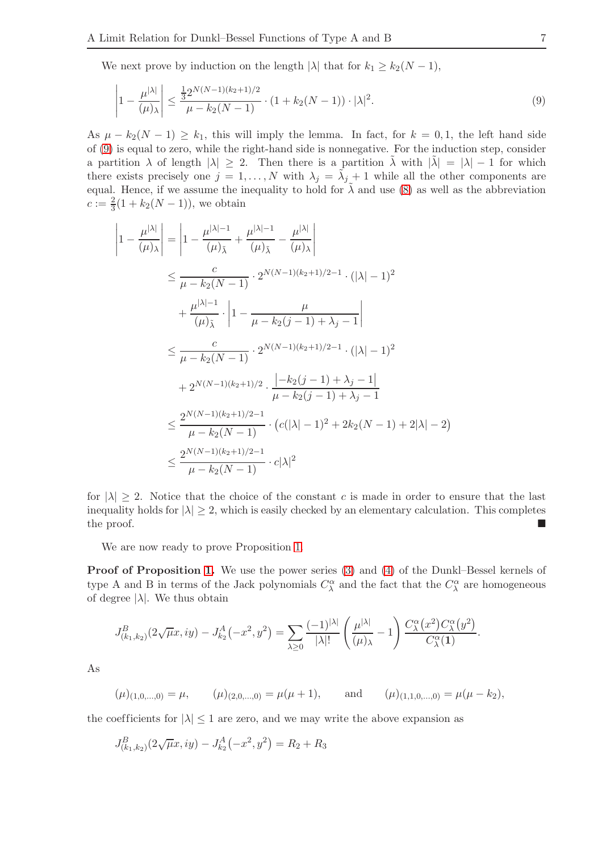We next prove by induction on the length  $|\lambda|$  that for  $k_1 \geq k_2(N-1)$ ,

<span id="page-6-0"></span>
$$
\left|1 - \frac{\mu^{|\lambda|}}{(\mu)_{\lambda}}\right| \le \frac{\frac{1}{3}2^{N(N-1)(k_2+1)/2}}{\mu - k_2(N-1)} \cdot (1 + k_2(N-1)) \cdot |\lambda|^2. \tag{9}
$$

As  $\mu - k_2(N-1) \geq k_1$ , this will imply the lemma. In fact, for  $k = 0, 1$ , the left hand side of [\(9\)](#page-6-0) is equal to zero, while the right-hand side is nonnegative. For the induction step, consider a partition  $\lambda$  of length  $|\lambda| \geq 2$ . Then there is a partition  $\lambda$  with  $|\tilde{\lambda}| = |\lambda| - 1$  for which there exists precisely one  $j = 1, ..., N$  with  $\lambda_j = \tilde{\lambda}_j + 1$  while all the other components are equal. Hence, if we assume the inequality to hold for  $\lambda$  and use [\(8\)](#page-5-1) as well as the abbreviation  $c := \frac{2}{3}(1 + k_2(N - 1)),$  we obtain

$$
\left|1 - \frac{\mu^{|\lambda|}}{(\mu)_{\lambda}}\right| = \left|1 - \frac{\mu^{|\lambda|-1}}{(\mu)_{\bar{\lambda}}} + \frac{\mu^{|\lambda|-1}}{(\mu)_{\bar{\lambda}}} - \frac{\mu^{|\lambda|}}{(\mu)_{\lambda}}\right|
$$
  
\n
$$
\leq \frac{c}{\mu - k_2(N-1)} \cdot 2^{N(N-1)(k_2+1)/2-1} \cdot (|\lambda| - 1)^2
$$
  
\n
$$
+ \frac{\mu^{|\lambda|-1}}{(\mu)_{\bar{\lambda}}} \cdot \left|1 - \frac{\mu}{\mu - k_2(j-1) + \lambda_j - 1}\right|
$$
  
\n
$$
\leq \frac{c}{\mu - k_2(N-1)} \cdot 2^{N(N-1)(k_2+1)/2-1} \cdot (|\lambda| - 1)^2
$$
  
\n
$$
+ 2^{N(N-1)(k_2+1)/2} \cdot \frac{|-k_2(j-1) + \lambda_j - 1|}{\mu - k_2(j-1) + \lambda_j - 1}
$$
  
\n
$$
\leq \frac{2^{N(N-1)(k_2+1)/2-1}}{\mu - k_2(N-1)} \cdot (c(|\lambda| - 1)^2 + 2k_2(N-1) + 2|\lambda| - 2)
$$
  
\n
$$
\leq \frac{2^{N(N-1)(k_2+1)/2-1}}{\mu - k_2(N-1)} \cdot c|\lambda|^2
$$

for  $|\lambda| \geq 2$ . Notice that the choice of the constant c is made in order to ensure that the last inequality holds for  $|\lambda| \ge 2$ , which is easily checked by an elementary calculation. This completes the proof. the proof.

We are now ready to prove Proposition [1.](#page-2-2)

Proof of Proposition [1.](#page-2-2) We use the power series [\(3\)](#page-1-1) and [\(4\)](#page-1-2) of the Dunkl–Bessel kernels of type A and B in terms of the Jack polynomials  $C^{\alpha}_{\lambda}$  and the fact that the  $C^{\alpha}_{\lambda}$  are homogeneous of degree  $|\lambda|$ . We thus obtain

$$
J_{(k_1,k_2)}^B(2\sqrt{\mu}x,iy) - J_{k_2}^A(-x^2,y^2) = \sum_{\lambda \ge 0} \frac{(-1)^{|\lambda|}}{|\lambda|!} \left(\frac{\mu^{|\lambda|}}{(\mu)_{\lambda}} - 1\right) \frac{C_{\lambda}^{\alpha}(x^2) C_{\lambda}^{\alpha}(y^2)}{C_{\lambda}^{\alpha}(1)}.
$$

As

$$
(\mu)_{(1,0,\ldots,0)} = \mu, \qquad (\mu)_{(2,0,\ldots,0)} = \mu(\mu+1), \qquad \text{and} \qquad (\mu)_{(1,1,0,\ldots,0)} = \mu(\mu-k_2),
$$

the coefficients for  $|\lambda| \leq 1$  are zero, and we may write the above expansion as

$$
J_{(k_1,k_2)}^B(2\sqrt{\mu}x,iy) - J_{k_2}^A(-x^2,y^2) = R_2 + R_3
$$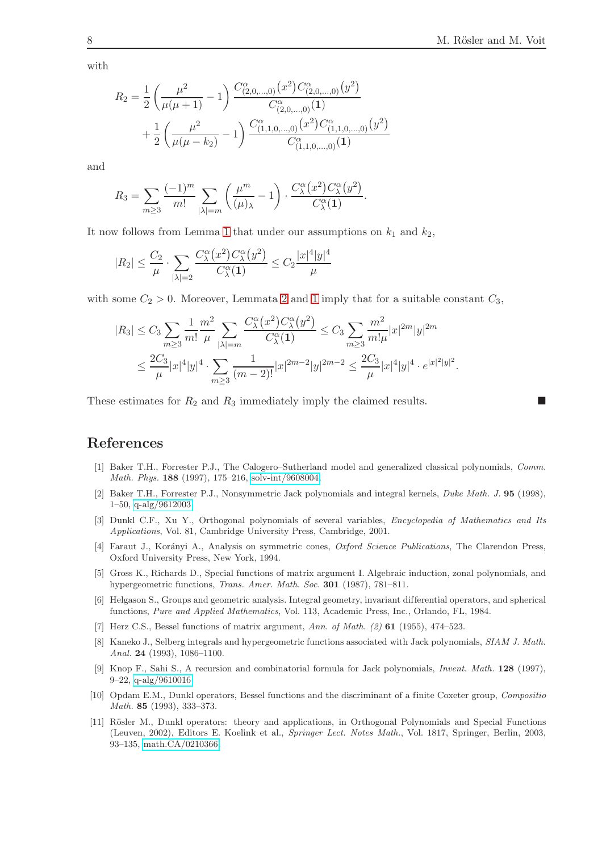with

$$
R_2 = \frac{1}{2} \left( \frac{\mu^2}{\mu(\mu+1)} - 1 \right) \frac{C_{(2,0,\dots,0)}^{\alpha}(x^2) C_{(2,0,\dots,0)}^{\alpha}(y^2)}{C_{(2,0,\dots,0)}^{\alpha}(1)} + \frac{1}{2} \left( \frac{\mu^2}{\mu(\mu-k_2)} - 1 \right) \frac{C_{(1,1,0,\dots,0)}^{\alpha}(x^2) C_{(1,1,0,\dots,0)}^{\alpha}(y^2)}{C_{(1,1,0,\dots,0)}^{\alpha}(1)}
$$

and

$$
R_3 = \sum_{m \geq 3} \frac{(-1)^m}{m!} \sum_{|\lambda|=m} \left( \frac{\mu^m}{(\mu)_{\lambda}} - 1 \right) \cdot \frac{C_{\lambda}^{\alpha}(x^2) C_{\lambda}^{\alpha}(y^2)}{C_{\lambda}^{\alpha}(1)}.
$$

It now follows from Lemma [1](#page-5-2) that under our assumptions on  $k_1$  and  $k_2$ ,

$$
|R_2| \leq \frac{C_2}{\mu} \cdot \sum_{|\lambda|=2} \frac{C_\lambda^{\alpha}(x^2) C_\lambda^{\alpha}(y^2)}{C_\lambda^{\alpha}(1)} \leq C_2 \frac{|x|^4 |y|^4}{\mu}
$$

with some  $C_2 > 0$ . Moreover, Lemmata [2](#page-5-3) and [1](#page-5-2) imply that for a suitable constant  $C_3$ ,

$$
|R_3| \leq C_3 \sum_{m\geq 3} \frac{1}{m!} \frac{m^2}{\mu} \sum_{|\lambda|=m} \frac{C_{\lambda}^{\alpha}(x^2) C_{\lambda}^{\alpha}(y^2)}{C_{\lambda}^{\alpha}(1)} \leq C_3 \sum_{m\geq 3} \frac{m^2}{m!\mu} |x|^{2m} |y|^{2m}
$$
  

$$
\leq \frac{2C_3}{\mu} |x|^4 |y|^4 \cdot \sum_{m\geq 3} \frac{1}{(m-2)!} |x|^{2m-2} |y|^{2m-2} \leq \frac{2C_3}{\mu} |x|^4 |y|^4 \cdot e^{|x|^2|y|^2}.
$$

These estimates for  $R_2$  and  $R_3$  immediately imply the claimed results.

## <span id="page-7-3"></span>References

- <span id="page-7-6"></span>[1] Baker T.H., Forrester P.J., The Calogero–Sutherland model and generalized classical polynomials, Comm. Math. Phys. 188 (1997), 175–216, [solv-int/9608004.](http://arxiv.org/abs/solv-int/9608004)
- <span id="page-7-0"></span>[2] Baker T.H., Forrester P.J., Nonsymmetric Jack polynomials and integral kernels, Duke Math. J. 95 (1998), 1–50, [q-alg/9612003.](http://arxiv.org/abs/q-alg/9612003)
- <span id="page-7-7"></span>[3] Dunkl C.F., Xu Y., Orthogonal polynomials of several variables, Encyclopedia of Mathematics and Its Applications, Vol. 81, Cambridge University Press, Cambridge, 2001.
- <span id="page-7-4"></span>[4] Faraut J., Korányi A., Analysis on symmetric cones, Oxford Science Publications, The Clarendon Press, Oxford University Press, New York, 1994.
- [5] Gross K., Richards D., Special functions of matrix argument I. Algebraic induction, zonal polynomials, and hypergeometric functions, *Trans. Amer. Math. Soc.* 301 (1987), 781-811.
- <span id="page-7-8"></span>[6] Helgason S., Groups and geometric analysis. Integral geometry, invariant differential operators, and spherical functions, Pure and Applied Mathematics, Vol. 113, Academic Press, Inc., Orlando, FL, 1984.
- <span id="page-7-5"></span>[7] Herz C.S., Bessel functions of matrix argument, Ann. of Math. (2) 61 (1955), 474–523.
- [8] Kaneko J., Selberg integrals and hypergeometric functions associated with Jack polynomials, SIAM J. Math. Anal. 24 (1993), 1086–1100.
- <span id="page-7-9"></span>[9] Knop F., Sahi S., A recursion and combinatorial formula for Jack polynomials, Invent. Math. 128 (1997), 9–22, [q-alg/9610016.](http://arxiv.org/abs/q-alg/9610016)
- <span id="page-7-2"></span>[10] Opdam E.M., Dunkl operators, Bessel functions and the discriminant of a finite Coxeter group, Compositio Math. 85 (1993), 333–373.
- <span id="page-7-1"></span>[11] Rösler M., Dunkl operators: theory and applications, in Orthogonal Polynomials and Special Functions (Leuven, 2002), Editors E. Koelink et al., Springer Lect. Notes Math., Vol. 1817, Springer, Berlin, 2003, 93–135, [math.CA/0210366.](http://arxiv.org/abs/math.CA/0210366)